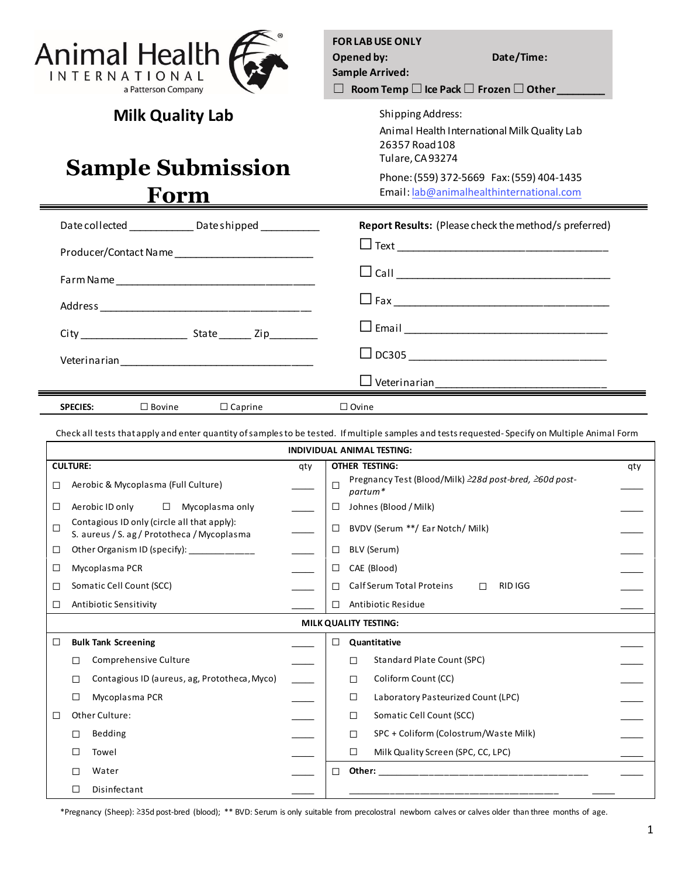

**Milk Quality Lab**

## **Sample Submission Form**

**FOR LAB USE ONLY Opened by: Date/Time: Sample Arrived:** ☐ **Room Temp** ☐**Ice Pack** ☐ **Frozen** ☐**Other \_\_\_\_\_\_\_\_\_**

> Shipping Address: Animal Health International Milk Quality Lab 26357 Road 108 Tulare, CA 93274

> Phone: (559) 372-5669 Fax: (559) 404-1435 Email: [lab@animalhealthinternational.com](mailto:lab@animalhealthinternational.com)

| Date collected _______________ Date shipped ____________ | Report Results: (Please check the method/s preferred) |
|----------------------------------------------------------|-------------------------------------------------------|
| Producer/Contact Name                                    |                                                       |
|                                                          |                                                       |
|                                                          |                                                       |
|                                                          |                                                       |
|                                                          |                                                       |
|                                                          |                                                       |
| <b>SPECIES:</b><br>$\square$ Bovine<br>$\Box$ Caprine    | $\Box$ Ovine                                          |

Check all tests that apply and enter quantity of samples to be tested. If multiple samples and tests requested- Specify on Multiple Animal Form

| INDIVIDUAL ANIMAL TESTING: |                                                                                            |                                              |                              |                                                                             |  |  |  |  |
|----------------------------|--------------------------------------------------------------------------------------------|----------------------------------------------|------------------------------|-----------------------------------------------------------------------------|--|--|--|--|
| <b>CULTURE:</b><br>qty     |                                                                                            |                                              | <b>OTHER TESTING:</b><br>qty |                                                                             |  |  |  |  |
| □                          |                                                                                            | Aerobic & Mycoplasma (Full Culture)          |                              | Pregnancy Test (Blood/Milk) 228d post-bred, 260d post-<br>$\Box$<br>partum* |  |  |  |  |
| ⊔                          |                                                                                            | $\Box$<br>Aerobic ID only<br>Mycoplasma only |                              | Johnes (Blood / Milk)<br>□                                                  |  |  |  |  |
| □                          | Contagious ID only (circle all that apply):<br>S. aureus / S. ag / Prototheca / Mycoplasma |                                              |                              | BVDV (Serum **/ Ear Notch/ Milk)<br>$\Box$                                  |  |  |  |  |
| ⊔                          | Other Organism ID (specify): ______________                                                |                                              |                              | BLV (Serum)<br>$\Box$                                                       |  |  |  |  |
| ⊔                          | Mycoplasma PCR                                                                             |                                              |                              | CAE (Blood)<br>$\Box$                                                       |  |  |  |  |
| ⊔                          | Somatic Cell Count (SCC)                                                                   |                                              |                              | Calf Serum Total Proteins<br>RID IGG<br>П<br>□                              |  |  |  |  |
| $\perp$                    | Antibiotic Sensitivity                                                                     |                                              |                              | Antibiotic Residue<br>П                                                     |  |  |  |  |
|                            | MILK QUALITY TESTING:                                                                      |                                              |                              |                                                                             |  |  |  |  |
| □                          |                                                                                            | <b>Bulk Tank Screening</b>                   |                              | Quantitative<br>□                                                           |  |  |  |  |
|                            | □                                                                                          | Comprehensive Culture                        |                              | <b>Standard Plate Count (SPC)</b><br>□                                      |  |  |  |  |
|                            | □                                                                                          | Contagious ID (aureus, ag, Prototheca, Myco) |                              | Coliform Count (CC)<br>$\Box$                                               |  |  |  |  |
|                            | □                                                                                          | Mycoplasma PCR                               |                              | Laboratory Pasteurized Count (LPC)<br>□                                     |  |  |  |  |
| $\Box$                     |                                                                                            | Other Culture:                               |                              | Somatic Cell Count (SCC)<br>□                                               |  |  |  |  |
|                            | П                                                                                          | Bedding                                      |                              | SPC + Coliform (Colostrum/Waste Milk)<br>$\Box$                             |  |  |  |  |
|                            | □                                                                                          | Towel                                        |                              | $\Box$<br>Milk Quality Screen (SPC, CC, LPC)                                |  |  |  |  |
|                            |                                                                                            | Water                                        |                              | $\Box$                                                                      |  |  |  |  |
|                            |                                                                                            | Disinfectant                                 |                              |                                                                             |  |  |  |  |

\*Pregnancy (Sheep): ≥35d post-bred (blood); \*\* BVD: Serum is only suitable from precolostral newborn calves or calves older than three months of age.